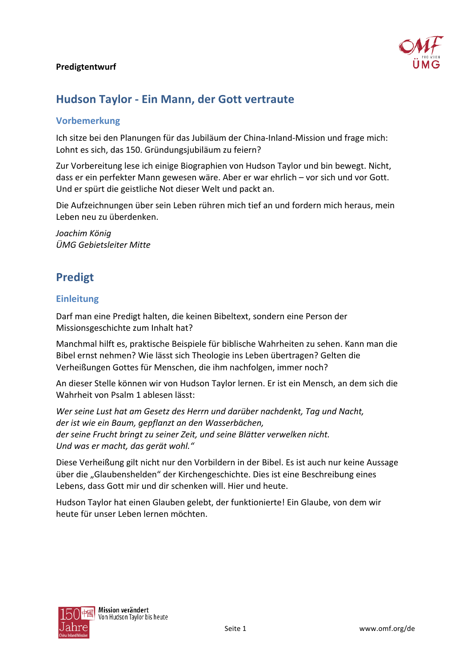

# Hudson Taylor - Ein Mann, der Gott vertraute

#### **Vorbemerkung**

Ich sitze bei den Planungen für das Jubiläum der China-Inland-Mission und frage mich: Lohnt es sich, das 150. Gründungsjubiläum zu feiern?

Zur Vorbereitung lese ich einige Biographien von Hudson Taylor und bin bewegt. Nicht, dass er ein perfekter Mann gewesen wäre. Aber er war ehrlich – vor sich und vor Gott. Und er spürt die geistliche Not dieser Welt und packt an.

Die Aufzeichnungen über sein Leben rühren mich tief an und fordern mich heraus, mein Leben neu zu überdenken.

Joachim König ÜMG Gebietsleiter Mitte

# **Predigt**

### **Einleitung**

Darf man eine Predigt halten, die keinen Bibeltext, sondern eine Person der Missionsgeschichte zum Inhalt hat?

Manchmal hilft es, praktische Beispiele für biblische Wahrheiten zu sehen. Kann man die Bibel ernst nehmen? Wie lässt sich Theologie ins Leben übertragen? Gelten die Verheißungen Gottes für Menschen, die ihm nachfolgen, immer noch?

An dieser Stelle können wir von Hudson Taylor lernen. Er ist ein Mensch, an dem sich die Wahrheit von Psalm 1 ablesen lässt:

Wer seine Lust hat am Gesetz des Herrn und darüber nachdenkt, Tag und Nacht, der ist wie ein Baum, gepflanzt an den Wasserbächen, der seine Frucht bringt zu seiner Zeit, und seine Blätter verwelken nicht. Und was er macht, das gerät wohl."

Diese Verheißung gilt nicht nur den Vorbildern in der Bibel. Es ist auch nur keine Aussage über die "Glaubenshelden" der Kirchengeschichte. Dies ist eine Beschreibung eines Lebens, dass Gott mir und dir schenken will. Hier und heute.

Hudson Taylor hat einen Glauben gelebt, der funktionierte! Ein Glaube, von dem wir heute für unser Leben lernen möchten.

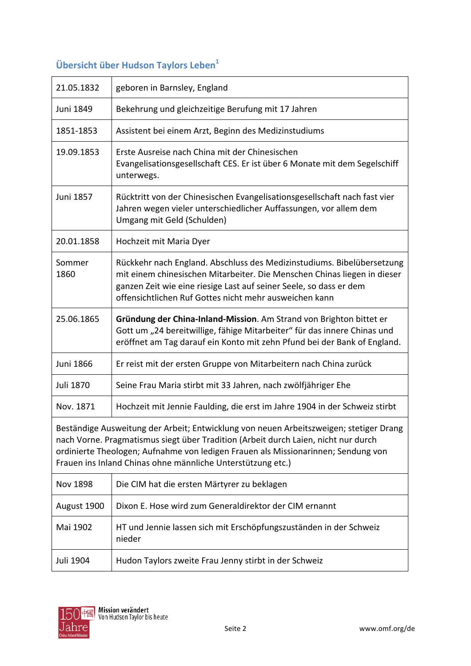# Übersicht über Hudson Taylors Leben<sup>1</sup>

| 21.05.1832                                                                                                                                                                                                                                                                                                                       | geboren in Barnsley, England                                                                                                                                                                                                                                                       |
|----------------------------------------------------------------------------------------------------------------------------------------------------------------------------------------------------------------------------------------------------------------------------------------------------------------------------------|------------------------------------------------------------------------------------------------------------------------------------------------------------------------------------------------------------------------------------------------------------------------------------|
| Juni 1849                                                                                                                                                                                                                                                                                                                        | Bekehrung und gleichzeitige Berufung mit 17 Jahren                                                                                                                                                                                                                                 |
| 1851-1853                                                                                                                                                                                                                                                                                                                        | Assistent bei einem Arzt, Beginn des Medizinstudiums                                                                                                                                                                                                                               |
| 19.09.1853                                                                                                                                                                                                                                                                                                                       | Erste Ausreise nach China mit der Chinesischen<br>Evangelisationsgesellschaft CES. Er ist über 6 Monate mit dem Segelschiff<br>unterwegs.                                                                                                                                          |
| Juni 1857                                                                                                                                                                                                                                                                                                                        | Rücktritt von der Chinesischen Evangelisationsgesellschaft nach fast vier<br>Jahren wegen vieler unterschiedlicher Auffassungen, vor allem dem<br>Umgang mit Geld (Schulden)                                                                                                       |
| 20.01.1858                                                                                                                                                                                                                                                                                                                       | Hochzeit mit Maria Dyer                                                                                                                                                                                                                                                            |
| Sommer<br>1860                                                                                                                                                                                                                                                                                                                   | Rückkehr nach England. Abschluss des Medizinstudiums. Bibelübersetzung<br>mit einem chinesischen Mitarbeiter. Die Menschen Chinas liegen in dieser<br>ganzen Zeit wie eine riesige Last auf seiner Seele, so dass er dem<br>offensichtlichen Ruf Gottes nicht mehr ausweichen kann |
| 25.06.1865                                                                                                                                                                                                                                                                                                                       | Gründung der China-Inland-Mission. Am Strand von Brighton bittet er<br>Gott um "24 bereitwillige, fähige Mitarbeiter" für das innere Chinas und<br>eröffnet am Tag darauf ein Konto mit zehn Pfund bei der Bank of England.                                                        |
| Juni 1866                                                                                                                                                                                                                                                                                                                        | Er reist mit der ersten Gruppe von Mitarbeitern nach China zurück                                                                                                                                                                                                                  |
| Juli 1870                                                                                                                                                                                                                                                                                                                        | Seine Frau Maria stirbt mit 33 Jahren, nach zwölfjähriger Ehe                                                                                                                                                                                                                      |
| Nov. 1871                                                                                                                                                                                                                                                                                                                        | Hochzeit mit Jennie Faulding, die erst im Jahre 1904 in der Schweiz stirbt                                                                                                                                                                                                         |
| Beständige Ausweitung der Arbeit; Entwicklung von neuen Arbeitszweigen; stetiger Drang<br>nach Vorne. Pragmatismus siegt über Tradition (Arbeit durch Laien, nicht nur durch<br>ordinierte Theologen; Aufnahme von ledigen Frauen als Missionarinnen; Sendung von<br>Frauen ins Inland Chinas ohne männliche Unterstützung etc.) |                                                                                                                                                                                                                                                                                    |
| Nov 1898                                                                                                                                                                                                                                                                                                                         | Die CIM hat die ersten Märtyrer zu beklagen                                                                                                                                                                                                                                        |
| August 1900                                                                                                                                                                                                                                                                                                                      | Dixon E. Hose wird zum Generaldirektor der CIM ernannt                                                                                                                                                                                                                             |
| Mai 1902                                                                                                                                                                                                                                                                                                                         | HT und Jennie lassen sich mit Erschöpfungszuständen in der Schweiz<br>nieder                                                                                                                                                                                                       |
| Juli 1904                                                                                                                                                                                                                                                                                                                        | Hudon Taylors zweite Frau Jenny stirbt in der Schweiz                                                                                                                                                                                                                              |

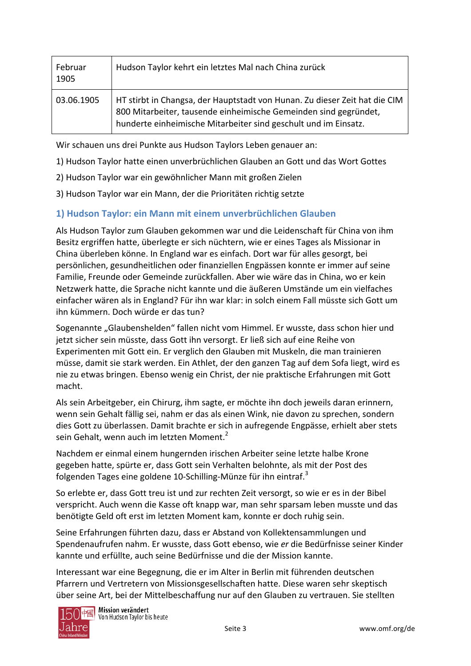| Februar<br>1905 | Hudson Taylor kehrt ein letztes Mal nach China zurück                                                                                                                                                             |
|-----------------|-------------------------------------------------------------------------------------------------------------------------------------------------------------------------------------------------------------------|
| 03.06.1905      | HT stirbt in Changsa, der Hauptstadt von Hunan. Zu dieser Zeit hat die CIM<br>800 Mitarbeiter, tausende einheimische Gemeinden sind gegründet,<br>hunderte einheimische Mitarbeiter sind geschult und im Einsatz. |

Wir schauen uns drei Punkte aus Hudson Taylors Leben genauer an:

- 1) Hudson Taylor hatte einen unverbrüchlichen Glauben an Gott und das Wort Gottes
- 2) Hudson Taylor war ein gewöhnlicher Mann mit großen Zielen
- 3) Hudson Taylor war ein Mann, der die Prioritäten richtig setzte

## 1) Hudson Taylor: ein Mann mit einem unverbrüchlichen Glauben

Als Hudson Taylor zum Glauben gekommen war und die Leidenschaft für China von ihm Besitz ergriffen hatte, überlegte er sich nüchtern, wie er eines Tages als Missionar in China überleben könne. In England war es einfach. Dort war für alles gesorgt, bei persönlichen, gesundheitlichen oder finanziellen Engpässen konnte er immer auf seine Familie. Freunde oder Gemeinde zurückfallen. Aber wie wäre das in China, wo er kein Netzwerk hatte, die Sprache nicht kannte und die äußeren Umstände um ein vielfaches einfacher wären als in England? Für ihn war klar: in solch einem Fall müsste sich Gott um ihn kümmern. Doch würde er das tun?

Sogenannte "Glaubenshelden" fallen nicht vom Himmel. Er wusste, dass schon hier und jetzt sicher sein müsste, dass Gott ihn versorgt. Er ließ sich auf eine Reihe von Experimenten mit Gott ein. Er verglich den Glauben mit Muskeln, die man trainieren müsse, damit sie stark werden. Ein Athlet, der den ganzen Tag auf dem Sofa liegt, wird es nie zu etwas bringen. Ebenso wenig ein Christ, der nie praktische Erfahrungen mit Gott macht.

Als sein Arbeitgeber, ein Chirurg, ihm sagte, er möchte ihn doch jeweils daran erinnern, wenn sein Gehalt fällig sei, nahm er das als einen Wink, nie davon zu sprechen, sondern dies Gott zu überlassen. Damit brachte er sich in aufregende Engpässe, erhielt aber stets sein Gehalt, wenn auch im letzten Moment.<sup>2</sup>

Nachdem er einmal einem hungernden irischen Arbeiter seine letzte halbe Krone gegeben hatte, spürte er, dass Gott sein Verhalten belohnte, als mit der Post des folgenden Tages eine goldene 10-Schilling-Münze für ihn eintraf.<sup>3</sup>

So erlebte er, dass Gott treu ist und zur rechten Zeit versorgt, so wie er es in der Bibel verspricht. Auch wenn die Kasse oft knapp war, man sehr sparsam leben musste und das benötigte Geld oft erst im letzten Moment kam, konnte er doch ruhig sein.

Seine Erfahrungen führten dazu, dass er Abstand von Kollektensammlungen und Spendenaufrufen nahm. Er wusste, dass Gott ebenso, wie er die Bedürfnisse seiner Kinder kannte und erfüllte, auch seine Bedürfnisse und die der Mission kannte.

Interessant war eine Begegnung, die er im Alter in Berlin mit führenden deutschen Pfarrern und Vertretern von Missionsgesellschaften hatte. Diese waren sehr skeptisch über seine Art, bei der Mittelbeschaffung nur auf den Glauben zu vertrauen. Sie stellten

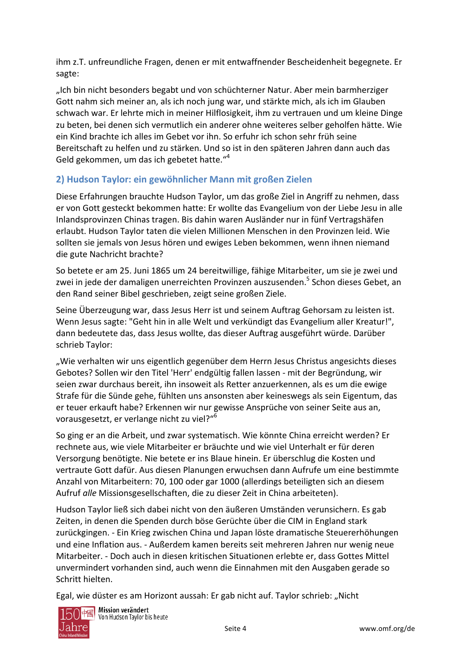ihm z.T. unfreundliche Fragen, denen er mit entwaffnender Bescheidenheit begegnete. Er sagte:

"Ich bin nicht besonders begabt und von schüchterner Natur. Aber mein barmherziger Gott nahm sich meiner an, als ich noch jung war, und stärkte mich, als ich im Glauben schwach war. Er lehrte mich in meiner Hilflosigkeit, ihm zu vertrauen und um kleine Dinge zu beten, bei denen sich vermutlich ein anderer ohne weiteres selber geholfen hätte. Wie ein Kind brachte ich alles im Gebet vor ihn. So erfuhr ich schon sehr früh seine Bereitschaft zu helfen und zu stärken. Und so ist in den späteren Jahren dann auch das Geld gekommen, um das ich gebetet hatte."<sup>4</sup>

## 2) Hudson Taylor: ein gewöhnlicher Mann mit großen Zielen

Diese Erfahrungen brauchte Hudson Taylor, um das große Ziel in Angriff zu nehmen, dass er von Gott gesteckt bekommen hatte: Er wollte das Evangelium von der Liebe Jesu in alle Inlandsprovinzen Chinas tragen. Bis dahin waren Ausländer nur in fünf Vertragshäfen erlaubt. Hudson Taylor taten die vielen Millionen Menschen in den Provinzen leid. Wie sollten sie jemals von Jesus hören und ewiges Leben bekommen, wenn ihnen niemand die gute Nachricht brachte?

So betete er am 25. Juni 1865 um 24 bereitwillige, fähige Mitarbeiter, um sie je zwei und zwei in jede der damaligen unerreichten Provinzen auszusenden.<sup>5</sup> Schon dieses Gebet, an den Rand seiner Bibel geschrieben, zeigt seine großen Ziele.

Seine Überzeugung war, dass Jesus Herr ist und seinem Auftrag Gehorsam zu leisten ist. Wenn Jesus sagte: "Geht hin in alle Welt und verkündigt das Evangelium aller Kreatur!", dann bedeutete das, dass Jesus wollte, das dieser Auftrag ausgeführt würde. Darüber schrieb Taylor:

"Wie verhalten wir uns eigentlich gegenüber dem Herrn Jesus Christus angesichts dieses Gebotes? Sollen wir den Titel 'Herr' endgültig fallen lassen - mit der Begründung, wir seien zwar durchaus bereit, ihn insoweit als Retter anzuerkennen, als es um die ewige Strafe für die Sünde gehe, fühlten uns ansonsten aber keineswegs als sein Eigentum, das er teuer erkauft habe? Erkennen wir nur gewisse Ansprüche von seiner Seite aus an, vorausgesetzt, er verlange nicht zu viel?"<sup>6</sup>

So ging er an die Arbeit, und zwar systematisch. Wie könnte China erreicht werden? Er rechnete aus, wie viele Mitarbeiter er bräuchte und wie viel Unterhalt er für deren Versorgung benötigte. Nie betete er ins Blaue hinein. Er überschlug die Kosten und vertraute Gott dafür. Aus diesen Planungen erwuchsen dann Aufrufe um eine bestimmte Anzahl von Mitarbeitern: 70, 100 oder gar 1000 (allerdings beteiligten sich an diesem Aufruf alle Missionsgesellschaften, die zu dieser Zeit in China arbeiteten).

Hudson Taylor ließ sich dabei nicht von den äußeren Umständen verunsichern. Es gab Zeiten, in denen die Spenden durch böse Gerüchte über die CIM in England stark zurückgingen. - Ein Krieg zwischen China und Japan löste dramatische Steuererhöhungen und eine Inflation aus. - Außerdem kamen bereits seit mehreren Jahren nur wenig neue Mitarbeiter. - Doch auch in diesen kritischen Situationen erlebte er, dass Gottes Mittel unvermindert vorhanden sind, auch wenn die Einnahmen mit den Ausgaben gerade so Schritt hielten.

Egal, wie düster es am Horizont aussah: Er gab nicht auf. Taylor schrieb: "Nicht



) <mark>中國</mark> Mis**sion verändert**<br>Von Hudson Taylor bis heute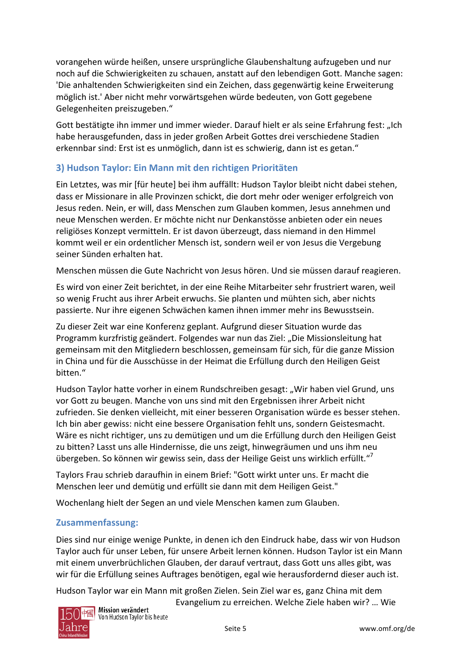vorangehen würde heißen, unsere ursprüngliche Glaubenshaltung aufzugeben und nur noch auf die Schwierigkeiten zu schauen, anstatt auf den lebendigen Gott. Manche sagen: 'Die anhaltenden Schwierigkeiten sind ein Zeichen, dass gegenwärtig keine Erweiterung möglich ist. Aber nicht mehr vorwärtsgehen würde bedeuten, von Gott gegebene Gelegenheiten preiszugeben."

Gott bestätigte ihn immer und immer wieder. Darauf hielt er als seine Erfahrung fest: "Ich habe herausgefunden, dass in jeder großen Arbeit Gottes drei verschiedene Stadien erkennbar sind: Erst ist es unmöglich, dann ist es schwierig, dann ist es getan."

## 3) Hudson Taylor: Ein Mann mit den richtigen Prioritäten

Ein Letztes, was mir [für heute] bei ihm auffällt: Hudson Taylor bleibt nicht dabei stehen, dass er Missionare in alle Provinzen schickt, die dort mehr oder weniger erfolgreich von Jesus reden. Nein, er will, dass Menschen zum Glauben kommen, Jesus annehmen und neue Menschen werden. Er möchte nicht nur Denkanstösse anbieten oder ein neues religiöses Konzept vermitteln. Er ist davon überzeugt, dass niemand in den Himmel kommt weil er ein ordentlicher Mensch ist, sondern weil er von Jesus die Vergebung seiner Sünden erhalten hat.

Menschen müssen die Gute Nachricht von Jesus hören. Und sie müssen darauf reagieren.

Es wird von einer Zeit berichtet, in der eine Reihe Mitarbeiter sehr frustriert waren, weil so wenig Frucht aus ihrer Arbeit erwuchs. Sie planten und mühten sich, aber nichts passierte. Nur ihre eigenen Schwächen kamen ihnen immer mehr ins Bewusstsein.

Zu dieser Zeit war eine Konferenz geplant. Aufgrund dieser Situation wurde das Programm kurzfristig geändert. Folgendes war nun das Ziel: "Die Missionsleitung hat gemeinsam mit den Mitgliedern beschlossen, gemeinsam für sich, für die ganze Mission in China und für die Ausschüsse in der Heimat die Erfüllung durch den Heiligen Geist bitten."

Hudson Taylor hatte vorher in einem Rundschreiben gesagt: "Wir haben viel Grund, uns vor Gott zu beugen. Manche von uns sind mit den Ergebnissen ihrer Arbeit nicht zufrieden. Sie denken vielleicht, mit einer besseren Organisation würde es besser stehen. Ich bin aber gewiss: nicht eine bessere Organisation fehlt uns, sondern Geistesmacht. Wäre es nicht richtiger, uns zu demütigen und um die Erfüllung durch den Heiligen Geist zu bitten? Lasst uns alle Hindernisse, die uns zeigt, hinwegräumen und uns ihm neu übergeben. So können wir gewiss sein, dass der Heilige Geist uns wirklich erfüllt."<sup>7</sup>

Taylors Frau schrieb daraufhin in einem Brief: "Gott wirkt unter uns. Er macht die Menschen leer und demütig und erfüllt sie dann mit dem Heiligen Geist."

Wochenlang hielt der Segen an und viele Menschen kamen zum Glauben.

### Zusammenfassung:

Dies sind nur einige wenige Punkte, in denen ich den Eindruck habe, dass wir von Hudson Taylor auch für unser Leben, für unsere Arbeit lernen können. Hudson Taylor ist ein Mann mit einem unverbrüchlichen Glauben, der darauf vertraut, dass Gott uns alles gibt, was wir für die Erfüllung seines Auftrages benötigen, egal wie herausfordernd dieser auch ist.

Hudson Taylor war ein Mann mit großen Zielen. Sein Ziel war es, ganz China mit dem



Evangelium zu erreichen. Welche Ziele haben wir? ... Wie